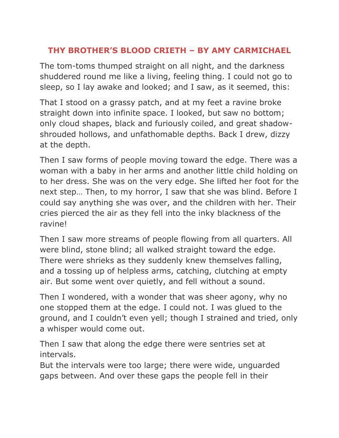## **THY BROTHER'S BLOOD CRIETH – BY AMY CARMICHAEL**

The tom-toms thumped straight on all night, and the darkness shuddered round me like a living, feeling thing. I could not go to sleep, so I lay awake and looked; and I saw, as it seemed, this:

That I stood on a grassy patch, and at my feet a ravine broke straight down into infinite space. I looked, but saw no bottom; only cloud shapes, black and furiously coiled, and great shadowshrouded hollows, and unfathomable depths. Back I drew, dizzy at the depth.

Then I saw forms of people moving toward the edge. There was a woman with a baby in her arms and another little child holding on to her dress. She was on the very edge. She lifted her foot for the next step… Then, to my horror, I saw that she was blind. Before I could say anything she was over, and the children with her. Their cries pierced the air as they fell into the inky blackness of the ravine!

Then I saw more streams of people flowing from all quarters. All were blind, stone blind; all walked straight toward the edge. There were shrieks as they suddenly knew themselves falling, and a tossing up of helpless arms, catching, clutching at empty air. But some went over quietly, and fell without a sound.

Then I wondered, with a wonder that was sheer agony, why no one stopped them at the edge. I could not. I was glued to the ground, and I couldn't even yell; though I strained and tried, only a whisper would come out.

Then I saw that along the edge there were sentries set at intervals.

But the intervals were too large; there were wide, unguarded gaps between. And over these gaps the people fell in their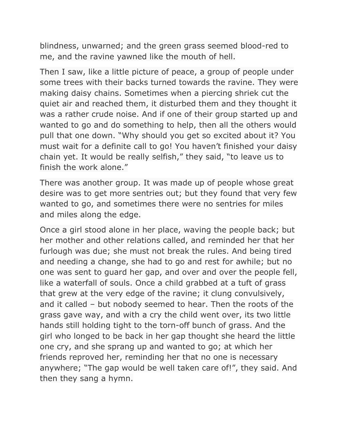blindness, unwarned; and the green grass seemed blood-red to me, and the ravine yawned like the mouth of hell.

Then I saw, like a little picture of peace, a group of people under some trees with their backs turned towards the ravine. They were making daisy chains. Sometimes when a piercing shriek cut the quiet air and reached them, it disturbed them and they thought it was a rather crude noise. And if one of their group started up and wanted to go and do something to help, then all the others would pull that one down. "Why should you get so excited about it? You must wait for a definite call to go! You haven't finished your daisy chain yet. It would be really selfish," they said, "to leave us to finish the work alone."

There was another group. It was made up of people whose great desire was to get more sentries out; but they found that very few wanted to go, and sometimes there were no sentries for miles and miles along the edge.

Once a girl stood alone in her place, waving the people back; but her mother and other relations called, and reminded her that her furlough was due; she must not break the rules. And being tired and needing a change, she had to go and rest for awhile; but no one was sent to guard her gap, and over and over the people fell, like a waterfall of souls. Once a child grabbed at a tuft of grass that grew at the very edge of the ravine; it clung convulsively, and it called – but nobody seemed to hear. Then the roots of the grass gave way, and with a cry the child went over, its two little hands still holding tight to the torn-off bunch of grass. And the girl who longed to be back in her gap thought she heard the little one cry, and she sprang up and wanted to go; at which her friends reproved her, reminding her that no one is necessary anywhere; "The gap would be well taken care of!", they said. And then they sang a hymn.